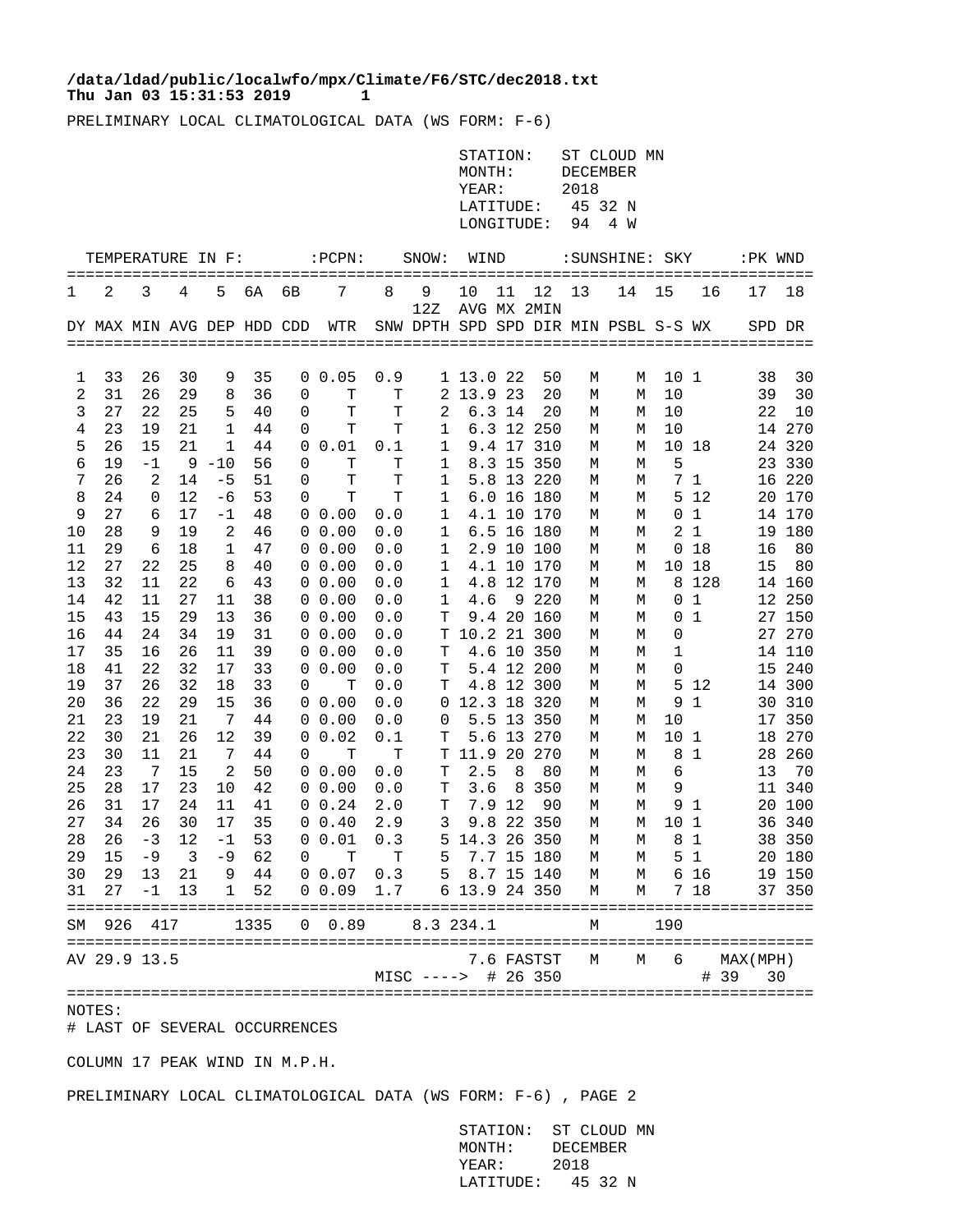## **Thu Jan 03 15:31:53 2019 1 /data/ldad/public/localwfo/mpx/Climate/F6/STC/dec2018.txt**

PRELIMINARY LOCAL CLIMATOLOGICAL DATA (WS FORM: F-6)

|                |                   |                                                     |          |                   |          |             |                                |             |                                      | STATION:<br>MONTH:<br>YEAR:   |            |                     | ST CLOUD MN<br>DECEMBER<br>2018 |                |                 |                           |            |                  |
|----------------|-------------------|-----------------------------------------------------|----------|-------------------|----------|-------------|--------------------------------|-------------|--------------------------------------|-------------------------------|------------|---------------------|---------------------------------|----------------|-----------------|---------------------------|------------|------------------|
|                |                   |                                                     |          |                   |          |             |                                |             |                                      |                               | LATITUDE:  |                     |                                 | 45 32 N        |                 |                           |            |                  |
|                |                   |                                                     |          |                   |          |             |                                |             |                                      |                               | LONGITUDE: |                     | 94                              | 4 W            |                 |                           |            |                  |
|                | TEMPERATURE IN F: |                                                     |          |                   |          |             | $:\!$ <code>PCPN:</code>       |             | SNOW: WIND                           |                               |            |                     |                                 | :SUNSHINE: SKY |                 |                           | :PK WND    |                  |
| 1              | 2                 | 3                                                   | 4        | 5                 | 6A       | 6В          | 7                              | 8           | 9                                    | 10                            | 11         | 12                  | 13                              | 14 15          |                 | 16                        | 17         | 18               |
|                |                   |                                                     |          |                   |          |             |                                |             | 12Z                                  |                               |            | AVG MX 2MIN         |                                 |                |                 |                           |            |                  |
|                |                   |                                                     |          |                   |          |             | DY MAX MIN AVG DEP HDD CDD WTR |             | SNW DPTH SPD SPD DIR MIN PSBL S-S WX |                               |            |                     |                                 |                |                 |                           | SPD DR     |                  |
|                |                   |                                                     |          |                   |          |             |                                |             |                                      |                               |            |                     |                                 |                |                 |                           |            |                  |
| 1              | 33                | 26                                                  | 30       | 9                 | 35       |             | 0 0.05                         | 0.9         |                                      | 1 13.0 22                     |            | 50                  | М                               | М              | 10 1            |                           | 38         | 30               |
| $\overline{c}$ | 31                | 26                                                  | 29       | 8                 | 36       | 0           | T                              | Т           |                                      | 2 13.9 23                     |            | 20                  | М                               | М              | 10              |                           | 39         | 30               |
| 3              | 27                | 22                                                  | 25       | 5                 | 40       | 0           | т                              | T           | 2                                    |                               | 6.3 14     | 20                  | М                               | М              | 10              |                           | 22         | 10               |
| 4              | 23                | 19                                                  | 21       | 1                 | 44       | 0           | т                              | T           | $\mathbf{1}$                         |                               |            | 6.3 12 250          | М                               | М              | 10              |                           |            | 14 270           |
| 5              | 26                | 15                                                  | 21       | 1                 | 44       | 0           | 0.01                           | 0.1         | 1                                    |                               |            | 9.4 17 310          | М                               | М              |                 | 10 18                     |            | 24 320           |
| 6              | 19                | $-1$                                                |          | $9 - 10$          | 56       | 0           | т                              | Т           | 1                                    |                               |            | 8.3 15 350          | М                               | М              | 5               |                           |            | 23 330           |
| 7              | 26                | 2                                                   | 14       | $-5$              | 51       | 0           | т                              | $\mathbf T$ | $\mathbf{1}$                         |                               |            | 5.8 13 220          | М                               | М              |                 | 7 1                       |            | 16 220           |
| 8              | 24                | 0                                                   | 12       | $-6$              | 53       | 0           | т                              | T           | $\mathbf{1}$                         |                               |            | 6.0 16 180          | М                               | М              |                 | 5 12                      |            | 20 170           |
| 9              | 27                | 6                                                   | 17       | $-1$              | 48       |             | $0\;\;0.00$                    | 0.0         | $\mathbf{1}$                         |                               |            | 4.1 10 170          | М                               | М              |                 | 0 <sub>1</sub>            |            | 14 170           |
| 10             | 28                | 9                                                   | 19       | 2                 | 46       |             | $0\ 0.00$                      | 0.0         | $\mathbf{1}$                         |                               |            | 6.5 16 180          | М                               | М              |                 | 2 <sub>1</sub>            |            | 19 180           |
| 11             | 29                | 6                                                   | 18       | 1                 | 47       |             | 0 0.00                         | 0.0         | $\mathbf{1}$                         |                               |            | 2.9 10 100          | М                               | М              |                 | 0 18                      | 16         | 80               |
| 12             | 27                | 22                                                  | 25       | 8                 | 40       |             | 0 0.00                         | 0.0         | $\mathbf{1}$                         |                               |            | 4.1 10 170          | М                               | М              |                 | 10 18                     | 15         | 80               |
| 13<br>14       | 32<br>42          | 11<br>11                                            | 22<br>27 | 6<br>11           | 43<br>38 |             | $0\;\;0.00$<br>0 0.00          | 0.0<br>0.0  | $\mathbf{1}$<br>$\mathbf{1}$         | 4.6                           |            | 4.8 12 170<br>9 220 | М<br>М                          | М<br>М         |                 | 8 1 2 8<br>0 <sub>1</sub> |            | 14 160<br>12 250 |
| 15             | 43                | 15                                                  | 29       | 13                | 36       |             | 0 0.00                         | 0.0         | T                                    |                               |            | 9.4 20 160          | М                               | М              |                 | 0 <sub>1</sub>            |            | 27 150           |
| 16             | 44                | 24                                                  | 34       | 19                | 31       |             | $0\;\;0.00$                    | 0.0         |                                      | T 10.2 21 300                 |            |                     | М                               | М              | 0               |                           |            | 27 270           |
| 17             | 35                | 16                                                  | 26       | 11                | 39       |             | $0\;\;0.00$                    | 0.0         | т                                    |                               |            | 4.6 10 350          | М                               | М              | 1               |                           |            | 14 110           |
| 18             | 41                | 22                                                  | 32       | 17                | 33       | $\mathbf 0$ | 0.00                           | 0.0         | т                                    |                               |            | 5.4 12 200          | М                               | М              | 0               |                           |            | 15 240           |
| 19             | 37                | 26                                                  | 32       | 18                | 33       | 0           | т                              | 0.0         | T                                    |                               |            | 4.8 12 300          | М                               | М              |                 | 5 12                      |            | 14 300           |
| 20             | 36                | 22                                                  | 29       | 15                | 36       |             | 0 0.00                         | 0.0         |                                      | 0 12.3 18 320                 |            |                     | М                               | М              |                 | 9 1                       |            | 30 310           |
| 21             | 23                | 19                                                  | 21       | 7                 | 44       |             | 0 0.00                         | 0.0         | 0                                    |                               |            | 5.5 13 350          | М                               | М              | 10              |                           |            | 17 350           |
| 22             | 30                | 21                                                  | 26       | 12                | 39       |             | 0 0.02                         | 0.1         | Т                                    |                               |            | 5.6 13 270          | М                               | М              | 10 <sub>1</sub> |                           |            | 18 270           |
| 23             | 30                | 11                                                  | 21       | 7                 | 44       | 0           | Т                              | Т           |                                      | T 11.9 20 270                 |            |                     | М                               | М              |                 | 8 1                       |            | 28 260           |
| 24             | 23                | - 7                                                 | 15       | 2                 | 50       |             | 0 0.00                         | 0.0         | T                                    | 2.5                           | 8          | 80                  | М                               | М              | 6               |                           | 13         | 70               |
| 25             | 28                | 17                                                  | 23       | 10                | 42       |             | 0 0.00                         | 0.0         | T                                    | 3.6                           |            | 8 3 5 0             | М                               | М              | 9               |                           |            | 11 340           |
| 26             | 31                | 17                                                  | 24       | 11                | 41       |             | 0 0.24                         | 2.0         | T                                    |                               | 7.9 12     | 90                  | М                               | М              |                 | 91                        |            | 20 100           |
| 27             | 34                | 26                                                  | 30       | 17                | 35       |             | 0 0.40                         | 2.9         | 3                                    |                               |            | 9.8 22 350          | М                               | М              | 101             |                           |            | 36 340           |
| 28             | 26                | $-3$                                                | 12       | $-1$              | 53       |             | $0\hskip 4pt 0.01$             | 0.3         |                                      | 5 14.3 26 350                 |            |                     | М                               |                | M 8 1           |                           |            | 38 350           |
| 29             | 15                | $-9$                                                | 3        | $-9$              | 62       | 0           | Т                              | т           | 5                                    |                               |            | 7.7 15 180          | М                               | М              |                 | 5 1                       |            | 20 180           |
| 30<br>31       | 29<br>27          | 13<br>$-1$                                          | 21<br>13 | 9<br>$\mathbf{1}$ | 44<br>52 |             | 0 0.07<br>0 0.09               | 0.3<br>1.7  |                                      | 5 8.7 15 140<br>6 13.9 24 350 |            |                     | М                               | М<br>М         |                 | 6 16<br>7 18              |            | 19 150           |
|                |                   |                                                     |          |                   |          |             |                                |             |                                      |                               |            |                     | М                               |                |                 |                           |            | 37 350           |
|                | SM 926            | 417<br>1335<br>$0 \t 0.89$<br>8.3 234.1<br>190<br>М |          |                   |          |             |                                |             |                                      |                               |            |                     |                                 |                |                 |                           |            |                  |
|                | AV 29.9 13.5      |                                                     |          |                   |          |             |                                |             |                                      |                               |            | 7.6 FASTST          | М                               | М              | 6               |                           | MAX (MPH)  |                  |
|                |                   |                                                     |          |                   |          |             |                                |             | MISC ----> # 26 350                  |                               |            |                     |                                 |                |                 |                           | # 39<br>30 |                  |
|                |                   |                                                     |          |                   |          |             |                                |             |                                      |                               |            |                     |                                 |                |                 |                           |            |                  |

NOTES:

# LAST OF SEVERAL OCCURRENCES

COLUMN 17 PEAK WIND IN M.P.H.

PRELIMINARY LOCAL CLIMATOLOGICAL DATA (WS FORM: F-6) , PAGE 2

 STATION: ST CLOUD MN MONTH: DECEMBER YEAR: 2018 LATITUDE: 45 32 N